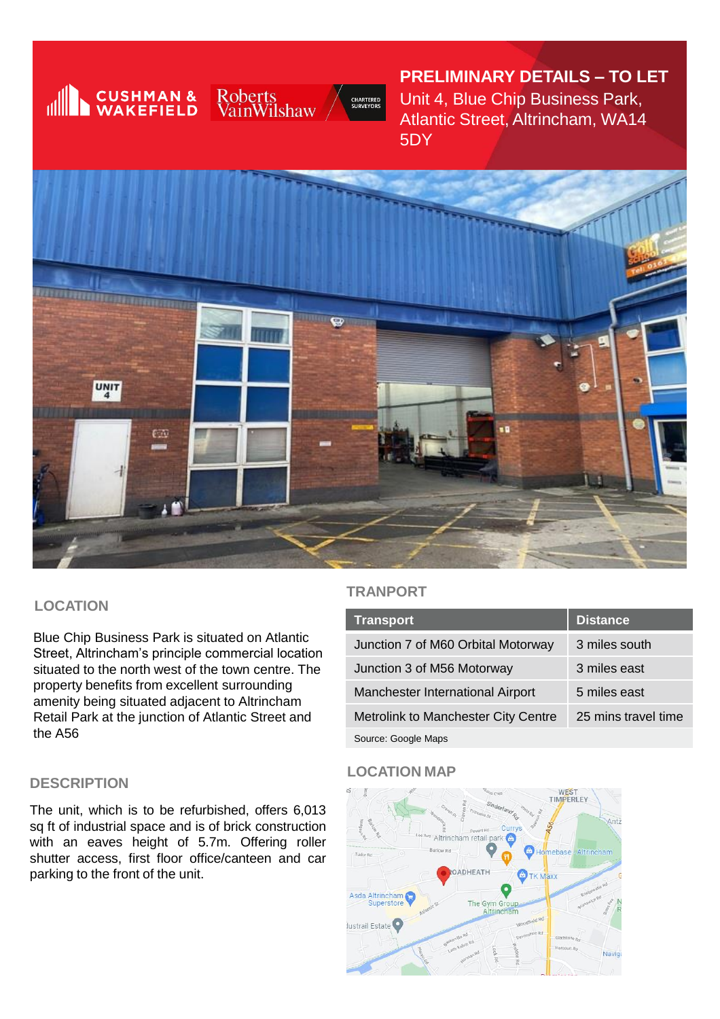

## **PRELIMINARY DETAILS – TO LET**

Unit 4, Blue Chip Business Park, Atlantic Street, Altrincham, WA14 5DY



#### **LOCATION**

Blue Chip Business Park is situated on Atlantic Street, Altrincham's principle commercial location situated to the north west of the town centre. The property benefits from excellent surrounding amenity being situated adjacent to Altrincham Retail Park at the junction of Atlantic Street and the A56

#### **DESCRIPTION**

The unit, which is to be refurbished, offers 6,013 sq ft of industrial space and is of brick construction with an eaves height of 5.7m. Offering roller shutter access, first floor office/canteen and car parking to the front of the unit.

#### **TRANPORT**

| <b>Transport</b>                                           | <b>Distance</b> |  |
|------------------------------------------------------------|-----------------|--|
| Junction 7 of M60 Orbital Motorway                         | 3 miles south   |  |
| Junction 3 of M56 Motorway                                 | 3 miles east    |  |
| Manchester International Airport                           | 5 miles east    |  |
| 25 mins travel time<br>Metrolink to Manchester City Centre |                 |  |
| Source: Google Maps                                        |                 |  |

#### **LOCATION MAP**